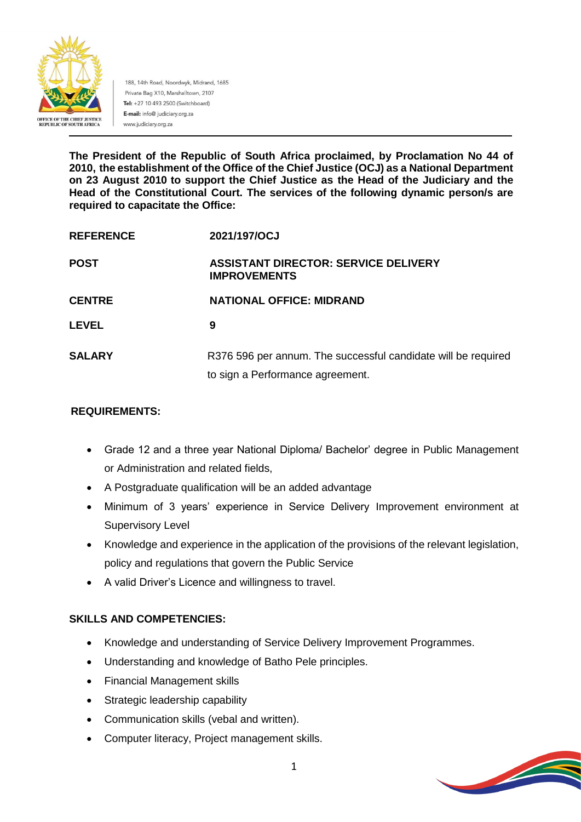

188, 14th Road, Noordwyk, Midrand, 1685 Private Bag X10, Marshalltown, 2107 Tel: +27 10 493 2500 (Switchboard) E-mail: info@ judiciary.org.za www.judiciary.org.za

**The President of the Republic of South Africa proclaimed, by Proclamation No 44 of 2010, the establishment of the Office of the Chief Justice (OCJ) as a National Department on 23 August 2010 to support the Chief Justice as the Head of the Judiciary and the Head of the Constitutional Court. The services of the following dynamic person/s are required to capacitate the Office:**

| <b>REFERENCE</b> | 2021/197/OCJ                                                       |
|------------------|--------------------------------------------------------------------|
| <b>POST</b>      | <b>ASSISTANT DIRECTOR: SERVICE DELIVERY</b><br><b>IMPROVEMENTS</b> |
| <b>CENTRE</b>    | <b>NATIONAL OFFICE: MIDRAND</b>                                    |
| <b>LEVEL</b>     | 9                                                                  |
| <b>SALARY</b>    | R376 596 per annum. The successful candidate will be required      |
|                  | to sign a Performance agreement.                                   |

### **REQUIREMENTS:**

- Grade 12 and a three year National Diploma/ Bachelor' degree in Public Management or Administration and related fields,
- A Postgraduate qualification will be an added advantage
- Minimum of 3 years' experience in Service Delivery Improvement environment at Supervisory Level
- Knowledge and experience in the application of the provisions of the relevant legislation, policy and regulations that govern the Public Service
- A valid Driver's Licence and willingness to travel.

## **SKILLS AND COMPETENCIES:**

- Knowledge and understanding of Service Delivery Improvement Programmes.
- Understanding and knowledge of Batho Pele principles.
- Financial Management skills
- Strategic leadership capability
- Communication skills (vebal and written).
- Computer literacy, Project management skills.

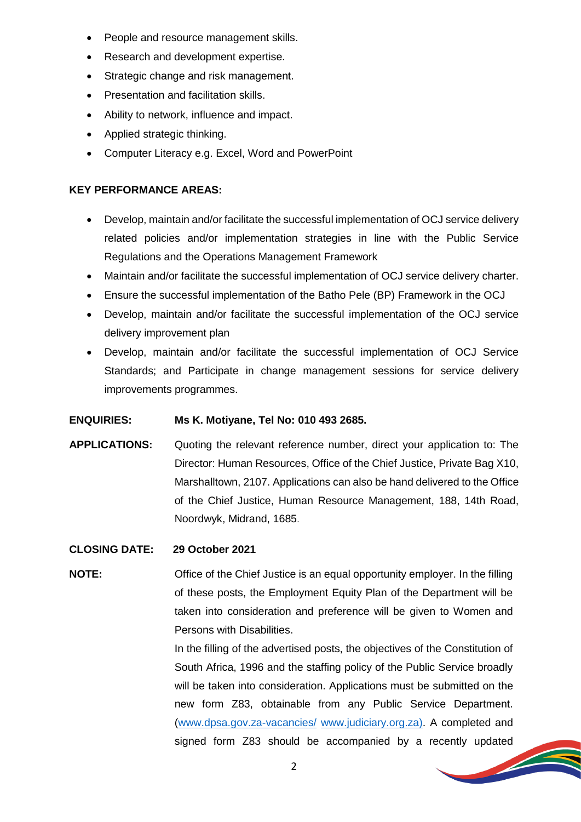- People and resource management skills.
- Research and development expertise.
- Strategic change and risk management.
- Presentation and facilitation skills.
- Ability to network, influence and impact.
- Applied strategic thinking.
- Computer Literacy e.g. Excel, Word and PowerPoint

#### **KEY PERFORMANCE AREAS:**

- Develop, maintain and/or facilitate the successful implementation of OCJ service delivery related policies and/or implementation strategies in line with the Public Service Regulations and the Operations Management Framework
- Maintain and/or facilitate the successful implementation of OCJ service delivery charter.
- Ensure the successful implementation of the Batho Pele (BP) Framework in the OCJ
- Develop, maintain and/or facilitate the successful implementation of the OCJ service delivery improvement plan
- Develop, maintain and/or facilitate the successful implementation of OCJ Service Standards; and Participate in change management sessions for service delivery improvements programmes.

#### **ENQUIRIES: Ms K. Motiyane, Tel No: 010 493 2685.**

**APPLICATIONS:** Quoting the relevant reference number, direct your application to: The Director: Human Resources, Office of the Chief Justice, Private Bag X10, Marshalltown, 2107. Applications can also be hand delivered to the Office of the Chief Justice, Human Resource Management, 188, 14th Road, Noordwyk, Midrand, 1685.

#### **CLOSING DATE: 29 October 2021**

**NOTE:** Office of the Chief Justice is an equal opportunity employer. In the filling of these posts, the Employment Equity Plan of the Department will be taken into consideration and preference will be given to Women and Persons with Disabilities.

> In the filling of the advertised posts, the objectives of the Constitution of South Africa, 1996 and the staffing policy of the Public Service broadly will be taken into consideration. Applications must be submitted on the new form Z83, obtainable from any Public Service Department. [\(www.dpsa.gov.za-vacancies/](http://www.dpsa.gov.za-vacancies/) [www.judiciary.org.za\)](http://www.judiciary.org.za/). A completed and signed form Z83 should be accompanied by a recently updated

> > **Simple Street Service**